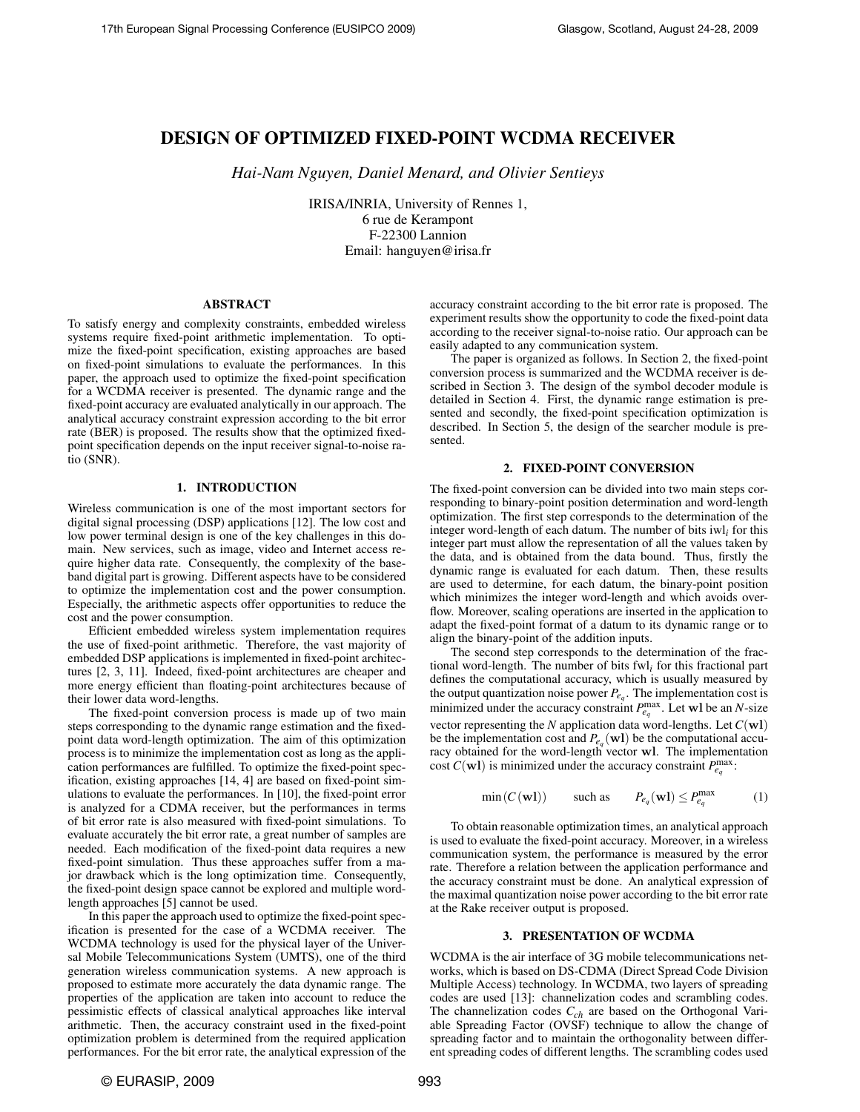# DESIGN OF OPTIMIZED FIXED-POINT WCDMA RECEIVER

*Hai-Nam Nguyen, Daniel Menard, and Olivier Sentieys*

IRISA/INRIA, University of Rennes 1, 6 rue de Kerampont F-22300 Lannion Email: hanguyen@irisa.fr

#### ABSTRACT

To satisfy energy and complexity constraints, embedded wireless systems require fixed-point arithmetic implementation. To optimize the fixed-point specification, existing approaches are based on fixed-point simulations to evaluate the performances. In this paper, the approach used to optimize the fixed-point specification for a WCDMA receiver is presented. The dynamic range and the fixed-point accuracy are evaluated analytically in our approach. The analytical accuracy constraint expression according to the bit error rate (BER) is proposed. The results show that the optimized fixedpoint specification depends on the input receiver signal-to-noise ratio (SNR).

# 1. INTRODUCTION

Wireless communication is one of the most important sectors for digital signal processing (DSP) applications [\[12\]](#page-4-0). The low cost and low power terminal design is one of the key challenges in this domain. New services, such as image, video and Internet access require higher data rate. Consequently, the complexity of the baseband digital part is growing. Different aspects have to be considered to optimize the implementation cost and the power consumption. Especially, the arithmetic aspects offer opportunities to reduce the cost and the power consumption.

Efficient embedded wireless system implementation requires the use of fixed-point arithmetic. Therefore, the vast majority of embedded DSP applications is implemented in fixed-point architectures [\[2,](#page-4-1) [3,](#page-4-2) [11\]](#page-4-3). Indeed, fixed-point architectures are cheaper and more energy efficient than floating-point architectures because of their lower data word-lengths.

The fixed-point conversion process is made up of two main steps corresponding to the dynamic range estimation and the fixedpoint data word-length optimization. The aim of this optimization process is to minimize the implementation cost as long as the application performances are fulfilled. To optimize the fixed-point specification, existing approaches [\[14,](#page-4-4) [4\]](#page-4-5) are based on fixed-point simulations to evaluate the performances. In [\[10\]](#page-4-6), the fixed-point error is analyzed for a CDMA receiver, but the performances in terms of bit error rate is also measured with fixed-point simulations. To evaluate accurately the bit error rate, a great number of samples are needed. Each modification of the fixed-point data requires a new fixed-point simulation. Thus these approaches suffer from a major drawback which is the long optimization time. Consequently, the fixed-point design space cannot be explored and multiple wordlength approaches [\[5\]](#page-4-7) cannot be used.

In this paper the approach used to optimize the fixed-point specification is presented for the case of a WCDMA receiver. The WCDMA technology is used for the physical layer of the Universal Mobile Telecommunications System (UMTS), one of the third generation wireless communication systems. A new approach is proposed to estimate more accurately the data dynamic range. The properties of the application are taken into account to reduce the pessimistic effects of classical analytical approaches like interval arithmetic. Then, the accuracy constraint used in the fixed-point optimization problem is determined from the required application performances. For the bit error rate, the analytical expression of the accuracy constraint according to the bit error rate is proposed. The experiment results show the opportunity to code the fixed-point data according to the receiver signal-to-noise ratio. Our approach can be easily adapted to any communication system.

The paper is organized as follows. In Section [2,](#page-0-0) the fixed-point conversion process is summarized and the WCDMA receiver is described in Section [3.](#page-0-1) The design of the symbol decoder module is detailed in Section [4.](#page-1-0) First, the dynamic range estimation is presented and secondly, the fixed-point specification optimization is described. In Section [5,](#page-3-0) the design of the searcher module is presented.

## 2. FIXED-POINT CONVERSION

<span id="page-0-0"></span>The fixed-point conversion can be divided into two main steps corresponding to binary-point position determination and word-length optimization. The first step corresponds to the determination of the integer word-length of each datum. The number of bits iwl*i* for this integer part must allow the representation of all the values taken by the data, and is obtained from the data bound. Thus, firstly the dynamic range is evaluated for each datum. Then, these results are used to determine, for each datum, the binary-point position which minimizes the integer word-length and which avoids overflow. Moreover, scaling operations are inserted in the application to adapt the fixed-point format of a datum to its dynamic range or to align the binary-point of the addition inputs.

The second step corresponds to the determination of the fractional word-length. The number of bits fwl*i* for this fractional part defines the computational accuracy, which is usually measured by the output quantization noise power  $P_{e_q}$ . The implementation cost is minimized under the accuracy constraint  $P_{e_q}^{\text{max}}$ . Let wl be an *N*-size vector representing the *N* application data word-lengths. Let *C*(wl) be the implementation cost and  $P_{e_q}(\textbf{wl})$  be the computational accuracy obtained for the word-length vector wl. The implementation cost  $C(\mathbf{w})$  is minimized under the accuracy constraint  $P_{e_q}^{\text{max}}$ .

<span id="page-0-2"></span>
$$
\min(C(\mathbf{wl})) \qquad \text{such as} \qquad P_{e_q}(\mathbf{wl}) \le P_{e_q}^{\max} \tag{1}
$$

To obtain reasonable optimization times, an analytical approach is used to evaluate the fixed-point accuracy. Moreover, in a wireless communication system, the performance is measured by the error rate. Therefore a relation between the application performance and the accuracy constraint must be done. An analytical expression of the maximal quantization noise power according to the bit error rate at the Rake receiver output is proposed.

## 3. PRESENTATION OF WCDMA

<span id="page-0-1"></span>WCDMA is the air interface of 3G mobile telecommunications networks, which is based on DS-CDMA (Direct Spread Code Division Multiple Access) technology. In WCDMA, two layers of spreading codes are used [\[13\]](#page-4-8): channelization codes and scrambling codes. The channelization codes *Cch* are based on the Orthogonal Variable Spreading Factor (OVSF) technique to allow the change of spreading factor and to maintain the orthogonality between different spreading codes of different lengths. The scrambling codes used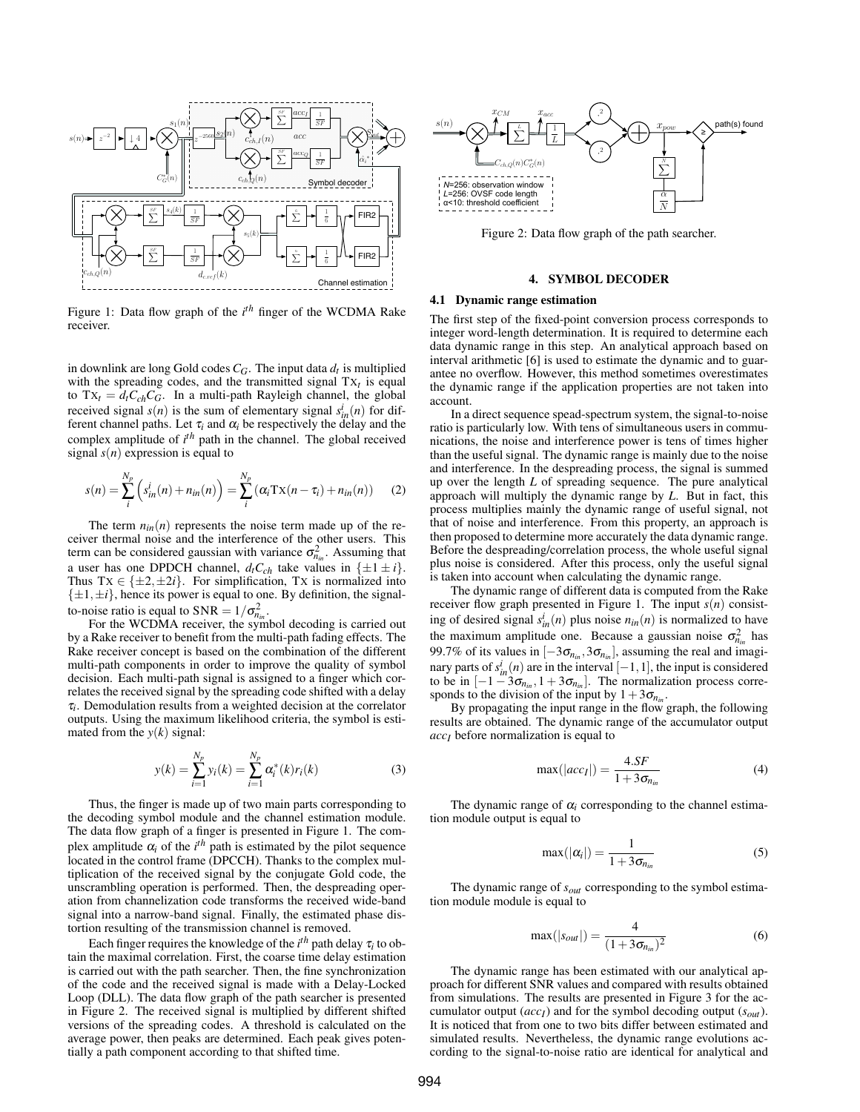<span id="page-1-1"></span>

Figure 1: Data flow graph of the *i th* finger of the WCDMA Rake receiver.

in downlink are long Gold codes *CG*. The input data *d<sup>t</sup>* is multiplied with the spreading codes, and the transmitted signal  $TX_t$  is equal to  $Tx_t = d_t C_{ch} C_G$ . In a multi-path Rayleigh channel, the global received signal  $s(n)$  is the sum of elementary signal  $s_{in}^i(n)$  for different channel paths. Let  $\tau_i$  and  $\alpha_i$  be respectively the delay and the complex amplitude of *i th* path in the channel. The global received signal *s*(*n*) expression is equal to

$$
s(n) = \sum_{i}^{N_p} \left( s_{in}^i(n) + n_{in}(n) \right) = \sum_{i}^{N_p} \left( \alpha_i \text{Tx}(n - \tau_i) + n_{in}(n) \right) \tag{2}
$$

The term  $n_{in}(n)$  represents the noise term made up of the receiver thermal noise and the interference of the other users. This term can be considered gaussian with variance  $\sigma_{n_{in}}^2$ . Assuming that a user has one DPDCH channel,  $d_t C_{ch}$  take values in  $\{\pm 1 \pm i\}$ . Thus  $Tx \in \{\pm 2, \pm 2i\}$ . For simplification, Tx is normalized into  $\{\pm 1, \pm i\}$ , hence its power is equal to one. By definition, the signalto-noise ratio is equal to  $SNR = 1/\sigma_{n_{in}}^2$ .

For the WCDMA receiver, the symbol decoding is carried out by a Rake receiver to benefit from the multi-path fading effects. The Rake receiver concept is based on the combination of the different multi-path components in order to improve the quality of symbol decision. Each multi-path signal is assigned to a finger which correlates the received signal by the spreading code shifted with a delay τ*i* . Demodulation results from a weighted decision at the correlator outputs. Using the maximum likelihood criteria, the symbol is estimated from the  $y(k)$  signal:

$$
y(k) = \sum_{i=1}^{N_p} y_i(k) = \sum_{i=1}^{N_p} \alpha_i^*(k) r_i(k)
$$
 (3)

Thus, the finger is made up of two main parts corresponding to the decoding symbol module and the channel estimation module. The data flow graph of a finger is presented in Figure [1.](#page-1-1) The complex amplitude  $\alpha_i$  of the  $i^{th}$  path is estimated by the pilot sequence located in the control frame (DPCCH). Thanks to the complex multiplication of the received signal by the conjugate Gold code, the unscrambling operation is performed. Then, the despreading operation from channelization code transforms the received wide-band signal into a narrow-band signal. Finally, the estimated phase distortion resulting of the transmission channel is removed.

Each finger requires the knowledge of the  $i^{th}$  path delay  $\tau_i$  to obtain the maximal correlation. First, the coarse time delay estimation is carried out with the path searcher. Then, the fine synchronization of the code and the received signal is made with a Delay-Locked Loop (DLL). The data flow graph of the path searcher is presented in Figure [2.](#page-1-2) The received signal is multiplied by different shifted versions of the spreading codes. A threshold is calculated on the average power, then peaks are determined. Each peak gives potentially a path component according to that shifted time.

<span id="page-1-2"></span>

Figure 2: Data flow graph of the path searcher.

# 4. SYMBOL DECODER

# <span id="page-1-0"></span>4.1 Dynamic range estimation

The first step of the fixed-point conversion process corresponds to integer word-length determination. It is required to determine each data dynamic range in this step. An analytical approach based on interval arithmetic [\[6\]](#page-4-9) is used to estimate the dynamic and to guarantee no overflow. However, this method sometimes overestimates the dynamic range if the application properties are not taken into account.

In a direct sequence spead-spectrum system, the signal-to-noise ratio is particularly low. With tens of simultaneous users in communications, the noise and interference power is tens of times higher than the useful signal. The dynamic range is mainly due to the noise and interference. In the despreading process, the signal is summed up over the length *L* of spreading sequence. The pure analytical approach will multiply the dynamic range by *L*. But in fact, this process multiplies mainly the dynamic range of useful signal, not that of noise and interference. From this property, an approach is then proposed to determine more accurately the data dynamic range. Before the despreading/correlation process, the whole useful signal plus noise is considered. After this process, only the useful signal is taken into account when calculating the dynamic range.

The dynamic range of different data is computed from the Rake receiver flow graph presented in Figure [1.](#page-1-1) The input  $s(n)$  consisting of desired signal  $s_{in}^i(n)$  plus noise  $n_{in}(n)$  is normalized to have the maximum amplitude one. Because a gaussian noise  $\sigma_{n_{in}}^2$  has 99.7% of its values in  $[-3\sigma_{n_{in}}, 3\sigma_{n_{in}}]$ , assuming the real and imaginary parts of  $s_{in}^{i}(n)$  are in the interval  $[-1,1]$ , the input is considered to be in  $[-1 - 3\sigma_{n_{in}}, 1 + 3\sigma_{n_{in}}]$ . The normalization process corresponds to the division of the input by  $1+3\sigma_{n_{in}}$ .

By propagating the input range in the flow graph, the following results are obtained. The dynamic range of the accumulator output *accI* before normalization is equal to

$$
\max(|acc_I|) = \frac{4.SF}{1 + 3\sigma_{n_{in}}} \tag{4}
$$

The dynamic range of  $\alpha_i$  corresponding to the channel estimation module output is equal to

$$
\max(|\alpha_i|) = \frac{1}{1 + 3\sigma_{n_{in}}} \tag{5}
$$

The dynamic range of *sout* corresponding to the symbol estimation module module is equal to

$$
\max(|s_{out}|) = \frac{4}{(1 + 3\sigma_{n_{in}})^2}
$$
 (6)

The dynamic range has been estimated with our analytical approach for different SNR values and compared with results obtained from simulations. The results are presented in Figure [3](#page-2-0) for the accumulator output (*accI*) and for the symbol decoding output (*sout*). It is noticed that from one to two bits differ between estimated and simulated results. Nevertheless, the dynamic range evolutions according to the signal-to-noise ratio are identical for analytical and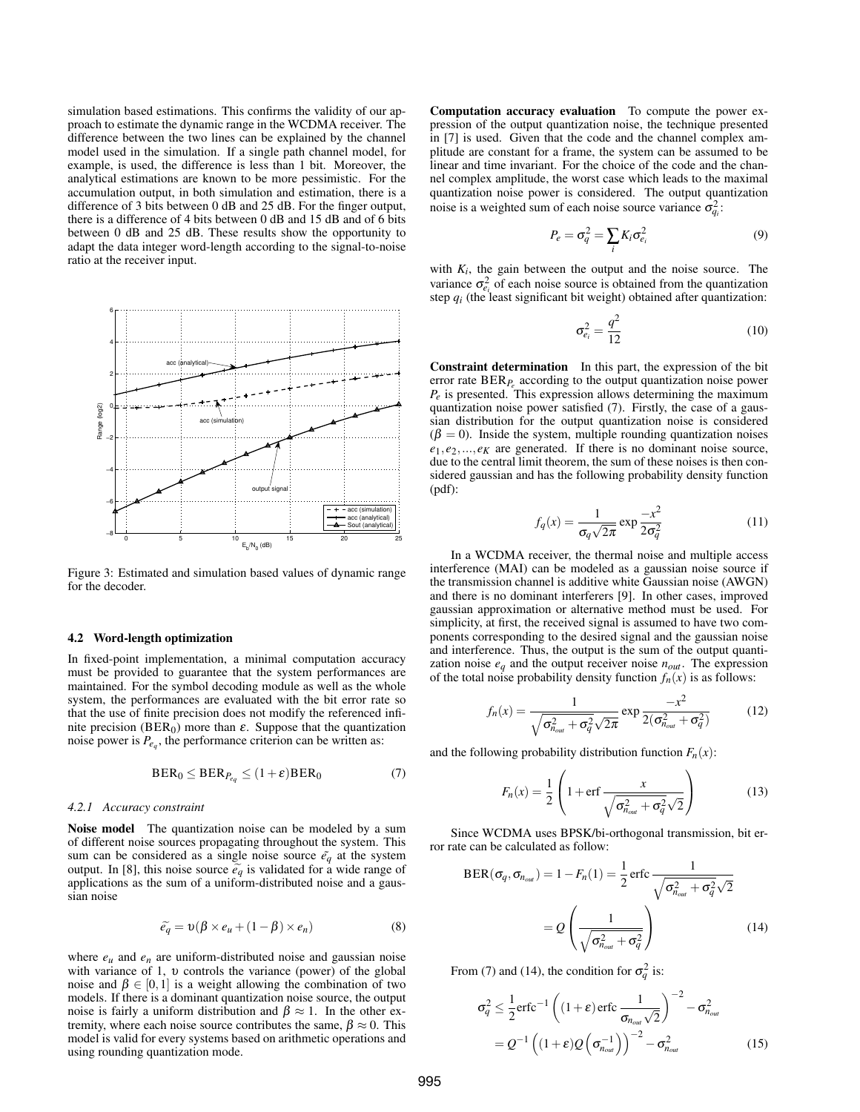simulation based estimations. This confirms the validity of our approach to estimate the dynamic range in the WCDMA receiver. The difference between the two lines can be explained by the channel model used in the simulation. If a single path channel model, for example, is used, the difference is less than 1 bit. Moreover, the analytical estimations are known to be more pessimistic. For the accumulation output, in both simulation and estimation, there is a difference of 3 bits between 0 dB and 25 dB. For the finger output, there is a difference of 4 bits between 0 dB and 15 dB and of 6 bits between 0 dB and 25 dB. These results show the opportunity to adapt the data integer word-length according to the signal-to-noise ratio at the receiver input.

<span id="page-2-0"></span>

Figure 3: Estimated and simulation based values of dynamic range for the decoder.

### <span id="page-2-4"></span>4.2 Word-length optimization

In fixed-point implementation, a minimal computation accuracy must be provided to guarantee that the system performances are maintained. For the symbol decoding module as well as the whole system, the performances are evaluated with the bit error rate so that the use of finite precision does not modify the referenced infinite precision (BER<sub>0</sub>) more than  $\varepsilon$ . Suppose that the quantization noise power is  $P_{e_q}$ , the performance criterion can be written as:

$$
\text{BER}_0 \leq \text{BER}_{P_{eq}} \leq (1+\varepsilon)\text{BER}_0 \tag{7}
$$

#### *4.2.1 Accuracy constraint*

Noise model The quantization noise can be modeled by a sum of different noise sources propagating throughout the system. This sum can be considered as a single noise source  $\tilde{e}_q$  at the system output. In [\[8\]](#page-4-10), this noise source  $\tilde{e}_q$  is validated for a wide range of applications as the sum of a uniform-distributed noise and a gaussian noise

$$
\widetilde{e}_q = \upsilon(\beta \times e_u + (1 - \beta) \times e_n) \tag{8}
$$

where  $e_u$  and  $e_n$  are uniform-distributed noise and gaussian noise with variance of 1, υ controls the variance (power) of the global noise and  $\beta \in [0,1]$  is a weight allowing the combination of two models. If there is a dominant quantization noise source, the output noise is fairly a uniform distribution and  $\beta \approx 1$ . In the other extremity, where each noise source contributes the same,  $\beta \approx 0$ . This model is valid for every systems based on arithmetic operations and using rounding quantization mode.

Computation accuracy evaluation To compute the power expression of the output quantization noise, the technique presented in [\[7\]](#page-4-11) is used. Given that the code and the channel complex amplitude are constant for a frame, the system can be assumed to be linear and time invariant. For the choice of the code and the channel complex amplitude, the worst case which leads to the maximal quantization noise power is considered. The output quantization noise is a weighted sum of each noise source variance  $\sigma_{qi}^2$ :

$$
P_e = \sigma_q^2 = \sum_i K_i \sigma_{e_i}^2 \tag{9}
$$

with  $K_i$ , the gain between the output and the noise source. The variance  $\sigma_{e_i}^2$  of each noise source is obtained from the quantization step  $q_i$  (the least significant bit weight) obtained after quantization:

$$
\sigma_{e_i}^2 = \frac{q^2}{12} \tag{10}
$$

Constraint determination In this part, the expression of the bit error rate BER*P<sup>e</sup>* according to the output quantization noise power  $P_e$  is presented. This expression allows determining the maximum quantization noise power satisfied [\(7\)](#page-2-1). Firstly, the case of a gaussian distribution for the output quantization noise is considered  $(\beta = 0)$ . Inside the system, multiple rounding quantization noises  $e_1, e_2, \ldots, e_K$  are generated. If there is no dominant noise source, due to the central limit theorem, the sum of these noises is then considered gaussian and has the following probability density function (pdf):

$$
f_q(x) = \frac{1}{\sigma_q \sqrt{2\pi}} \exp \frac{-x^2}{2\sigma_q^2}
$$
 (11)

In a WCDMA receiver, the thermal noise and multiple access interference (MAI) can be modeled as a gaussian noise source if the transmission channel is additive white Gaussian noise (AWGN) and there is no dominant interferers [\[9\]](#page-4-12). In other cases, improved gaussian approximation or alternative method must be used. For simplicity, at first, the received signal is assumed to have two components corresponding to the desired signal and the gaussian noise and interference. Thus, the output is the sum of the output quantization noise  $e_q$  and the output receiver noise  $n_{out}$ . The expression of the total noise probability density function  $f_n(x)$  is as follows:

$$
f_n(x) = \frac{1}{\sqrt{\sigma_{n_{out}}^2 + \sigma_q^2} \sqrt{2\pi}} \exp \frac{-x^2}{2(\sigma_{n_{out}}^2 + \sigma_q^2)}
$$
(12)

<span id="page-2-1"></span>and the following probability distribution function  $F_n(x)$ :

$$
F_n(x) = \frac{1}{2} \left( 1 + \text{erf}\frac{x}{\sqrt{\sigma_{\text{Hout}}^2 + \sigma_q^2} \sqrt{2}} \right)
$$
(13)

Since WCDMA uses BPSK/bi-orthogonal transmission, bit error rate can be calculated as follow:

$$
BER(\sigma_q, \sigma_{n_{out}}) = 1 - F_n(1) = \frac{1}{2} \operatorname{erfc} \frac{1}{\sqrt{\sigma_{n_{out}}^2 + \sigma_q^2} \sqrt{2}}
$$

$$
= Q \left( \frac{1}{\sqrt{\sigma_{n_{out}}^2 + \sigma_q^2}} \right) \tag{14}
$$

From [\(7\)](#page-2-1) and [\(14\)](#page-2-2), the condition for  $\sigma_q^2$  is:

<span id="page-2-3"></span><span id="page-2-2"></span>
$$
\sigma_q^2 \le \frac{1}{2} \text{erfc}^{-1} \left( (1+\varepsilon) \text{erfc} \frac{1}{\sigma_{n_{\text{out}}} \sqrt{2}} \right)^{-2} - \sigma_{n_{\text{out}}}^2
$$

$$
= Q^{-1} \left( (1+\varepsilon) Q \left( \sigma_{n_{\text{out}}}^{-1} \right) \right)^{-2} - \sigma_{n_{\text{out}}}^2
$$
(15)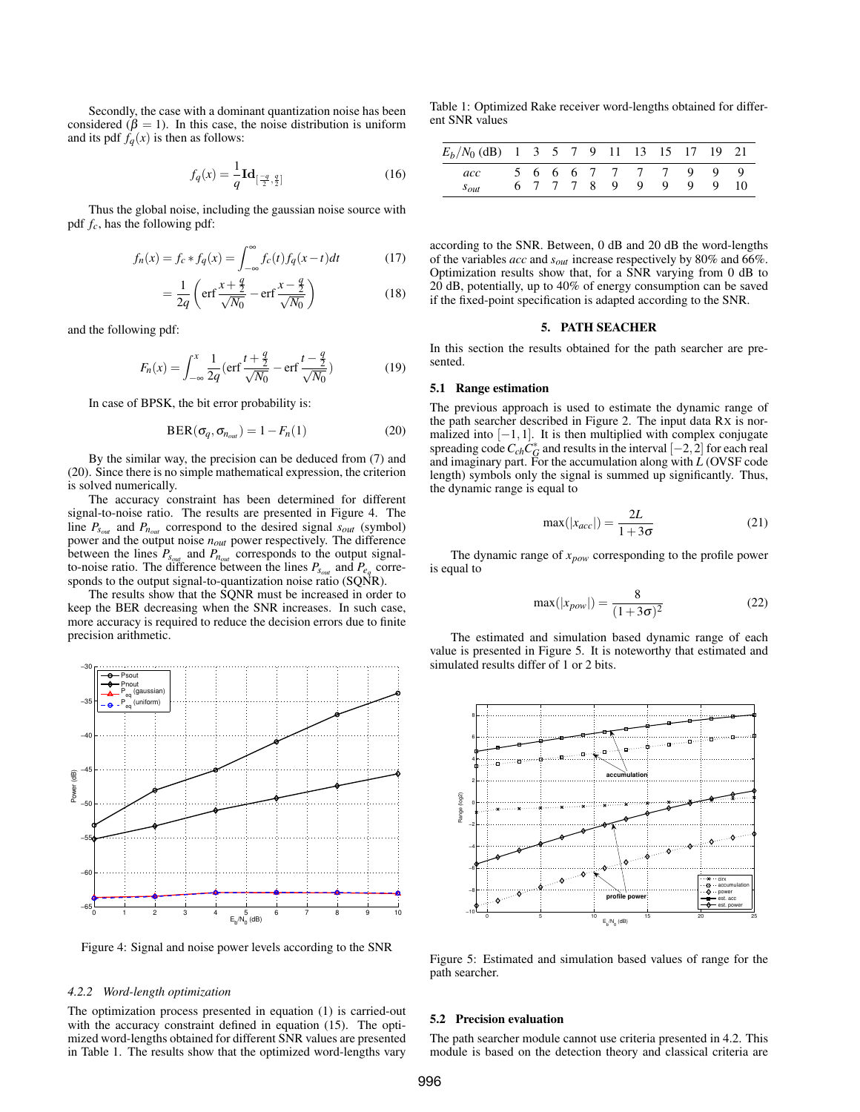Secondly, the case with a dominant quantization noise has been considered ( $\beta = 1$ ). In this case, the noise distribution is uniform and its pdf  $f_q(x)$  is then as follows:

$$
f_q(x) = \frac{1}{q} \mathbf{Id}_{\left[\frac{-q}{2}, \frac{q}{2}\right]}
$$
 (16)

Thus the global noise, including the gaussian noise source with pdf *fc*, has the following pdf:

$$
f_n(x) = f_c * f_q(x) = \int_{-\infty}^{\infty} f_c(t) f_q(x - t) dt
$$
 (17)

$$
= \frac{1}{2q} \left( \text{erf} \frac{x + \frac{q}{2}}{\sqrt{N_0}} - \text{erf} \frac{x - \frac{q}{2}}{\sqrt{N_0}} \right)
$$
 (18)

and the following pdf:

$$
F_n(x) = \int_{-\infty}^x \frac{1}{2q} \left( \text{erf} \, \frac{t + \frac{q}{2}}{\sqrt{N_0}} - \text{erf} \, \frac{t - \frac{q}{2}}{\sqrt{N_0}} \right) \tag{19}
$$

In case of BPSK, the bit error probability is:

$$
BER(\sigma_q, \sigma_{n_{out}}) = 1 - F_n(1)
$$
 (20)

By the similar way, the precision can be deduced from [\(7\)](#page-2-1) and [\(20\)](#page-3-1). Since there is no simple mathematical expression, the criterion is solved numerically.

The accuracy constraint has been determined for different signal-to-noise ratio. The results are presented in Figure [4.](#page-3-2) The line  $P_{s_{out}}$  and  $P_{n_{out}}$  correspond to the desired signal  $s_{out}$  (symbol) power and the output noise *nout* power respectively. The difference between the lines  $P_{s_{out}}$  and  $P_{n_{out}}$  corresponds to the output signalto-noise ratio. The difference between the lines  $P_{s_{out}}$  and  $P_{e_q}$  corresponds to the output signal-to-quantization noise ratio (SQNR).

The results show that the SQNR must be increased in order to keep the BER decreasing when the SNR increases. In such case, more accuracy is required to reduce the decision errors due to finite precision arithmetic.

<span id="page-3-2"></span>

Figure 4: Signal and noise power levels according to the SNR

#### *4.2.2 Word-length optimization*

The optimization process presented in equation [\(1\)](#page-0-2) is carried-out with the accuracy constraint defined in equation [\(15\)](#page-2-3). The optimized word-lengths obtained for different SNR values are presented in Table [1.](#page-3-3) The results show that the optimized word-lengths vary

<span id="page-3-3"></span>Table 1: Optimized Rake receiver word-lengths obtained for different SNR values

| $E_b/N_0$ (dB) 1 3 5 7 9 11 13 15 17 19 21 |  |  |  |                       |     |  |
|--------------------------------------------|--|--|--|-----------------------|-----|--|
| acc                                        |  |  |  | 5 6 6 6 7 7 7 7 9 9 9 |     |  |
| $S_{Out}$                                  |  |  |  | 6 7 7 7 8 9 9 9       | - 9 |  |

according to the SNR. Between, 0 dB and 20 dB the word-lengths of the variables *acc* and *sout* increase respectively by 80% and 66%. Optimization results show that, for a SNR varying from 0 dB to 20 dB, potentially, up to 40% of energy consumption can be saved if the fixed-point specification is adapted according to the SNR.

#### 5. PATH SEACHER

<span id="page-3-0"></span>In this section the results obtained for the path searcher are presented.

#### 5.1 Range estimation

<span id="page-3-1"></span>The previous approach is used to estimate the dynamic range of the path searcher described in Figure [2.](#page-1-2) The input data RX is normalized into  $[-1,1]$ . It is then multiplied with complex conjugate spreading code  $C_{ch}C_G^*$  and results in the interval  $[-2,2]$  for each real and imaginary part. For the accumulation along with *L* (OVSF code length) symbols only the signal is summed up significantly. Thus, the dynamic range is equal to

$$
\max(|x_{acc}|) = \frac{2L}{1+3\sigma} \tag{21}
$$

The dynamic range of *xpow* corresponding to the profile power is equal to

$$
\max(|x_{pow}|) = \frac{8}{(1+3\sigma)^2}
$$
 (22)

The estimated and simulation based dynamic range of each value is presented in Figure [5.](#page-3-4) It is noteworthy that estimated and simulated results differ of 1 or 2 bits.

<span id="page-3-4"></span>

Figure 5: Estimated and simulation based values of range for the path searcher.

# 5.2 Precision evaluation

The path searcher module cannot use criteria presented in [4.2.](#page-2-4) This module is based on the detection theory and classical criteria are